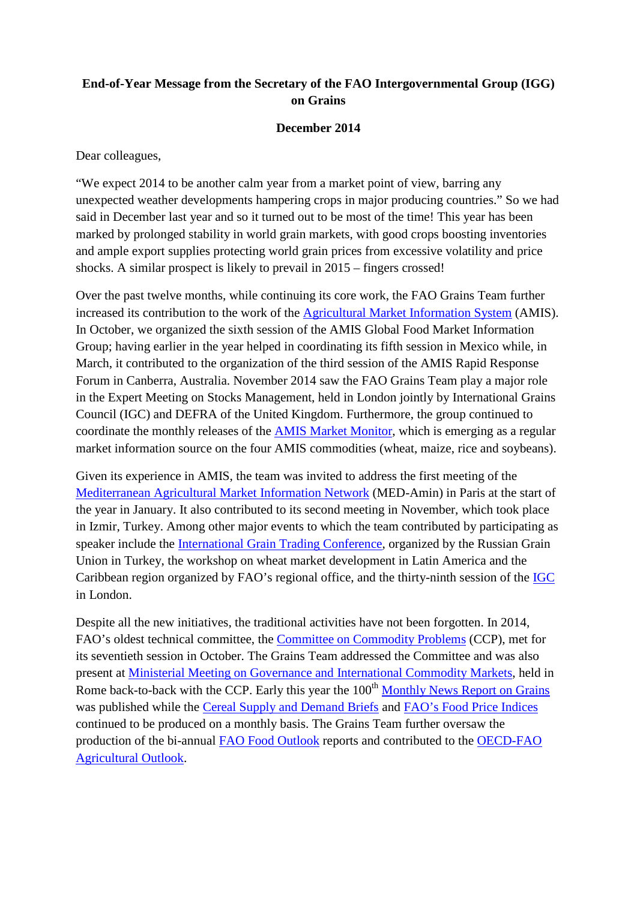## **End-of-Year Message from the Secretary of the FAO Intergovernmental Group (IGG) on Grains**

## **December 2014**

Dear colleagues,

"We expect 2014 to be another calm year from a market point of view, barring any unexpected weather developments hampering crops in major producing countries." So we had said in December last year and so it turned out to be most of the time! This year has been marked by prolonged stability in world grain markets, with good crops boosting inventories and ample export supplies protecting world grain prices from excessive volatility and price shocks. A similar prospect is likely to prevail in 2015 – fingers crossed!

Over the past twelve months, while continuing its core work, the FAO Grains Team further increased its contribution to the work of the [Agricultural Market Information System](http://www.amis-outlook.org/) (AMIS). In October, we organized the sixth session of the AMIS Global Food Market Information Group; having earlier in the year helped in coordinating its fifth session in Mexico while, in March, it contributed to the organization of the third session of the AMIS Rapid Response Forum in Canberra, Australia. November 2014 saw the FAO Grains Team play a major role in the Expert Meeting on Stocks Management, held in London jointly by International Grains Council (IGC) and DEFRA of the United Kingdom. Furthermore, the group continued to coordinate the monthly releases of the [AMIS Market Monitor,](http://www.amis-outlook.org/amis-monitoring/monthly-report/en/) which is emerging as a regular market information source on the four AMIS commodities (wheat, maize, rice and soybeans).

Given its experience in AMIS, the team was invited to address the first meeting of the [Mediterranean Agricultural Market Information Network](http://www.med-amin.ciheam.org/en/) (MED-Amin) in Paris at the start of the year in January. It also contributed to its second meeting in November, which took place in Izmir, Turkey. Among other major events to which the team contributed by participating as speaker include the [International Grain Trading Conference,](http://grun.ru/en/press_service/news/?ELEMENT_ID=5376) organized by the Russian Grain Union in Turkey, the workshop on wheat market development in Latin America and the Caribbean region organized by FAO's regional office, and the thirty-ninth session of the [IGC](http://www.igc.int/en/default.aspx) in London.

Despite all the new initiatives, the traditional activities have not been forgotten. In 2014, FAO's oldest technical committee, the [Committee on Commodity Problems](http://www.fao.org/ccp/en/) (CCP), met for its seventieth session in October. The Grains Team addressed the Committee and was also present at [Ministerial Meeting on Governance and International Commodity Markets,](http://www.fao.org/about/meetings/mm3/en/) held in Rome back-to-back with the CCP. Early this year the 100<sup>th</sup> [Monthly News Report on Grains](http://www.fao.org/economic/est/publications/grains-publications/monthly-news-report-on-grains-mnr/en/) was published while the [Cereal Supply and Demand Briefs](http://www.fao.org/worldfoodsituation/csdb/en/) and [FAO's Food Price Indices](http://www.fao.org/worldfoodsituation/foodpricesindex/en/) continued to be produced on a monthly basis. The Grains Team further oversaw the production of the bi-annual [FAO Food Outlook](http://www.fao.org/giews/english/fo/index.htm) reports and contributed to the [OECD-FAO](http://www.oecd.org/site/oecd-faoagriculturaloutlook/)  [Agricultural Outlook.](http://www.oecd.org/site/oecd-faoagriculturaloutlook/)